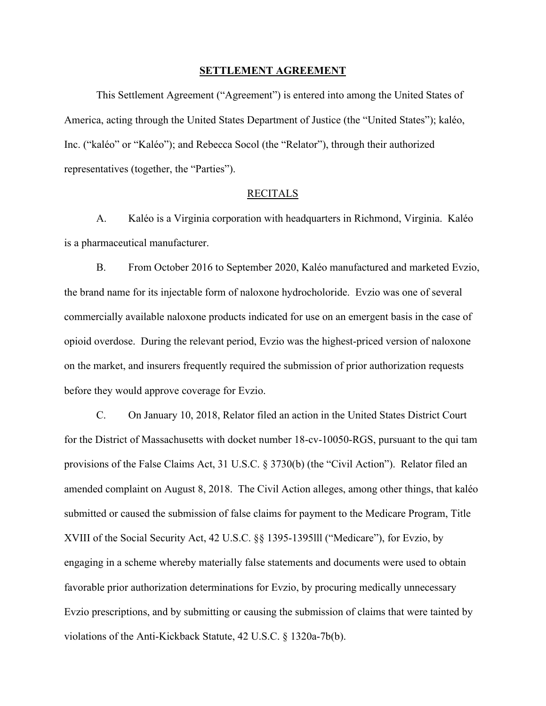#### **SETTLEMENT AGREEMENT**

 This Settlement Agreement ("Agreement") is entered into among the United States of representatives (together, the "Parties"). America, acting through the United States Department of Justice (the "United States"); kaléo, Inc. ("kaléo" or "Kaléo"); and Rebecca Socol (the "Relator"), through their authorized

### RECITALS

 A. Kaléo is a Virginia corporation with headquarters in Richmond, Virginia. Kaléo is a pharmaceutical manufacturer.

 opioid overdose. During the relevant period, Evzio was the highest-priced version of naloxone B. From October 2016 to September 2020, Kaléo manufactured and marketed Evzio, the brand name for its injectable form of naloxone hydrocholoride. Evzio was one of several commercially available naloxone products indicated for use on an emergent basis in the case of on the market, and insurers frequently required the submission of prior authorization requests before they would approve coverage for Evzio.

 amended complaint on August 8, 2018. The Civil Action alleges, among other things, that kaléo XVIII of the Social Security Act, 42 U.S.C. §§ 1395-1395lll ("Medicare"), for Evzio, by favorable prior authorization determinations for Evzio, by procuring medically unnecessary C. On January 10, 2018, Relator filed an action in the United States District Court for the District of Massachusetts with docket number 18-cv-10050-RGS, pursuant to the qui tam provisions of the False Claims Act, 31 U.S.C. § 3730(b) (the "Civil Action"). Relator filed an submitted or caused the submission of false claims for payment to the Medicare Program, Title engaging in a scheme whereby materially false statements and documents were used to obtain Evzio prescriptions, and by submitting or causing the submission of claims that were tainted by violations of the Anti-Kickback Statute, 42 U.S.C. § 1320a-7b(b).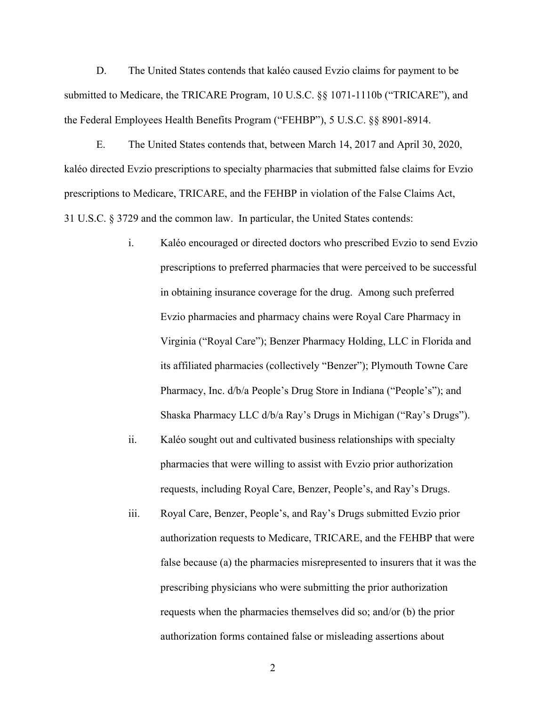D. The United States contends that kaléo caused Evzio claims for payment to be submitted to Medicare, the TRICARE Program, 10 U.S.C. §§ 1071-1110b ("TRICARE"), and the Federal Employees Health Benefits Program ("FEHBP"), 5 U.S.C. §§ 8901-8914.

 kaléo directed Evzio prescriptions to specialty pharmacies that submitted false claims for Evzio 31 U.S.C. § 3729 and the common law. In particular, the United States contends: E. The United States contends that, between March 14, 2017 and April 30, 2020, prescriptions to Medicare, TRICARE, and the FEHBP in violation of the False Claims Act,

- Evzio pharmacies and pharmacy chains were Royal Care Pharmacy in Shaska Pharmacy LLC d/b/a Ray's Drugs in Michigan ("Ray's Drugs").<br>ii. Kaléo sought out and cultivated business relationships with specialty i. Kaléo encouraged or directed doctors who prescribed Evzio to send Evzio prescriptions to preferred pharmacies that were perceived to be successful in obtaining insurance coverage for the drug. Among such preferred Virginia ("Royal Care"); Benzer Pharmacy Holding, LLC in Florida and its affiliated pharmacies (collectively "Benzer"); Plymouth Towne Care Pharmacy, Inc. d/b/a People's Drug Store in Indiana ("People's"); and
- requests, including Royal Care, Benzer, People's, and Ray's Drugs. pharmacies that were willing to assist with Evzio prior authorization
- authorization requests to Medicare, TRICARE, and the FEHBP that were requests when the pharmacies themselves did so; and/or (b) the prior iii. Royal Care, Benzer, People's, and Ray's Drugs submitted Evzio prior false because (a) the pharmacies misrepresented to insurers that it was the prescribing physicians who were submitting the prior authorization authorization forms contained false or misleading assertions about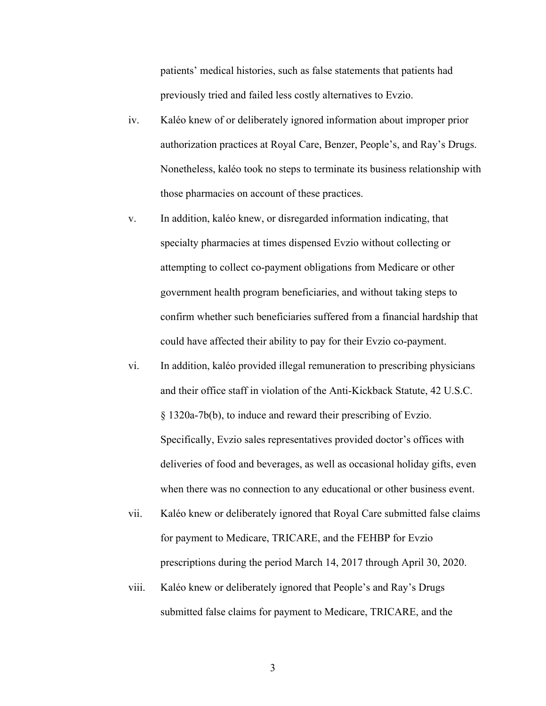patients' medical histories, such as false statements that patients had previously tried and failed less costly alternatives to Evzio.

- iv. Kaléo knew of or deliberately ignored information about improper prior authorization practices at Royal Care, Benzer, People's, and Ray's Drugs. those pharmacies on account of these practices. Nonetheless, kaléo took no steps to terminate its business relationship with
- attempting to collect co-payment obligations from Medicare or other v. In addition, kaléo knew, or disregarded information indicating, that specialty pharmacies at times dispensed Evzio without collecting or government health program beneficiaries, and without taking steps to confirm whether such beneficiaries suffered from a financial hardship that could have affected their ability to pay for their Evzio co-payment.
- and their office staff in violation of the Anti-Kickback Statute, 42 U.S.C. vi. In addition, kaléo provided illegal remuneration to prescribing physicians § 1320a-7b(b), to induce and reward their prescribing of Evzio. Specifically, Evzio sales representatives provided doctor's offices with deliveries of food and beverages, as well as occasional holiday gifts, even when there was no connection to any educational or other business event.
- vii. Kaléo knew or deliberately ignored that Royal Care submitted false claims for payment to Medicare, TRICARE, and the FEHBP for Evzio prescriptions during the period March 14, 2017 through April 30, 2020.
- viii. Kaléo knew or deliberately ignored that People's and Ray's Drugs submitted false claims for payment to Medicare, TRICARE, and the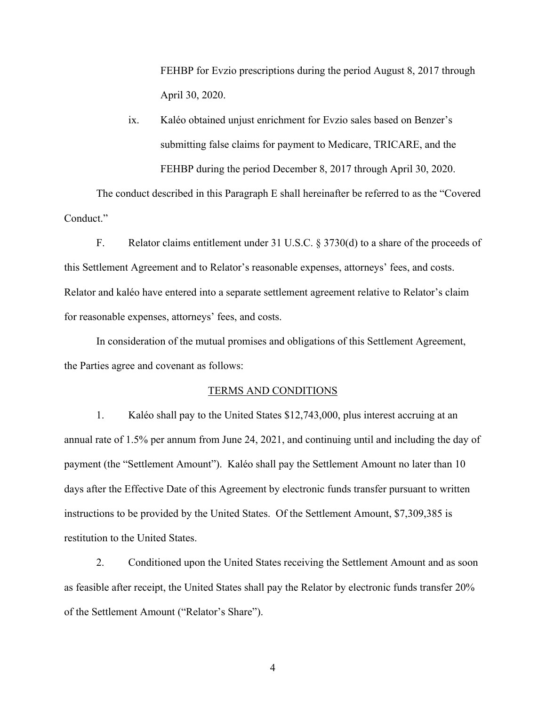FEHBP for Evzio prescriptions during the period August 8, 2017 through April 30, 2020.

ix. Kaléo obtained unjust enrichment for Evzio sales based on Benzer's submitting false claims for payment to Medicare, TRICARE, and the FEHBP during the period December 8, 2017 through April 30, 2020.

 The conduct described in this Paragraph E shall hereinafter be referred to as the "Covered Conduct."

 this Settlement Agreement and to Relator's reasonable expenses, attorneys' fees, and costs. Relator and kaléo have entered into a separate settlement agreement relative to Relator's claim for reasonable expenses, attorneys' fees, and costs. F. Relator claims entitlement under 31 U.S.C.  $\S 3730(d)$  to a share of the proceeds of

In consideration of the mutual promises and obligations of this Settlement Agreement, the Parties agree and covenant as follows:

#### TERMS AND CONDITIONS

 annual rate of 1.5% per annum from June 24, 2021, and continuing until and including the day of payment (the "Settlement Amount"). Kaléo shall pay the Settlement Amount no later than 10 days after the Effective Date of this Agreement by electronic funds transfer pursuant to written instructions to be provided by the United States. Of the Settlement Amount, \$7,309,385 is restitution to the United States. 1. Kaléo shall pay to the United States \$12,743,000, plus interest accruing at an

2. Conditioned upon the United States receiving the Settlement Amount and as soon as feasible after receipt, the United States shall pay the Relator by electronic funds transfer 20% of the Settlement Amount ("Relator's Share").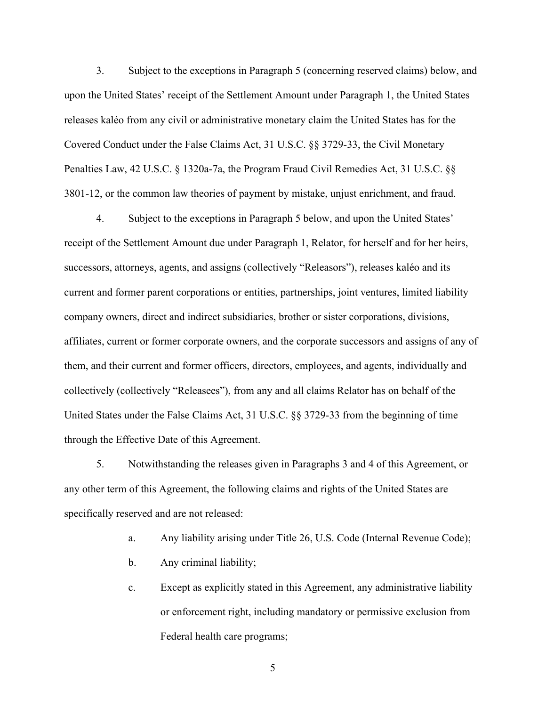upon the United States' receipt of the Settlement Amount under Paragraph 1, the United States releases kaléo from any civil or administrative monetary claim the United States has for the Penalties Law, 42 U.S.C. § 1320a-7a, the Program Fraud Civil Remedies Act, 31 U.S.C. §§ 3801-12, or the common law theories of payment by mistake, unjust enrichment, and fraud. 3. Subject to the exceptions in Paragraph 5 (concerning reserved claims) below, and Covered Conduct under the False Claims Act, 31 U.S.C. §§ 3729-33, the Civil Monetary

 collectively (collectively "Releasees"), from any and all claims Relator has on behalf of the 4. Subject to the exceptions in Paragraph 5 below, and upon the United States' receipt of the Settlement Amount due under Paragraph 1, Relator, for herself and for her heirs, successors, attorneys, agents, and assigns (collectively "Releasors"), releases kaléo and its current and former parent corporations or entities, partnerships, joint ventures, limited liability company owners, direct and indirect subsidiaries, brother or sister corporations, divisions, affiliates, current or former corporate owners, and the corporate successors and assigns of any of them, and their current and former officers, directors, employees, and agents, individually and United States under the False Claims Act, 31 U.S.C. §§ 3729-33 from the beginning of time through the Effective Date of this Agreement.

 any other term of this Agreement, the following claims and rights of the United States are specifically reserved and are not released: 5. Notwithstanding the releases given in Paragraphs 3 and 4 of this Agreement, or

- a. Any liability arising under Title 26, U.S. Code (Internal Revenue Code);
- b. Any criminal liability;
- c. Except as explicitly stated in this Agreement, any administrative liability or enforcement right, including mandatory or permissive exclusion from Federal health care programs;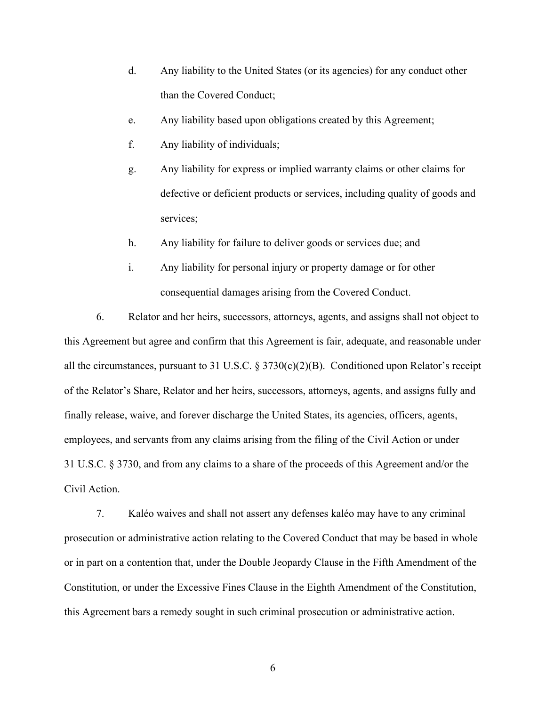- d. Any liability to the United States (or its agencies) for any conduct other than the Covered Conduct;
- e. Any liability based upon obligations created by this Agreement; f. Any liability of individuals;
- 
- g. Any liability for express or implied warranty claims or other claims for defective or deficient products or services, including quality of goods and services;
- h. Any liability for failure to deliver goods or services due; and
- i. Any liability for personal injury or property damage or for other consequential damages arising from the Covered Conduct.

 finally release, waive, and forever discharge the United States, its agencies, officers, agents, employees, and servants from any claims arising from the filing of the Civil Action or under 31 U.S.C. § 3730, and from any claims to a share of the proceeds of this Agreement and/or the 6. Relator and her heirs, successors, attorneys, agents, and assigns shall not object to this Agreement but agree and confirm that this Agreement is fair, adequate, and reasonable under all the circumstances, pursuant to 31 U.S.C. § 3730(c)(2)(B). Conditioned upon Relator's receipt of the Relator's Share, Relator and her heirs, successors, attorneys, agents, and assigns fully and Civil Action.

 this Agreement bars a remedy sought in such criminal prosecution or administrative action. 7. Kaléo waives and shall not assert any defenses kaléo may have to any criminal prosecution or administrative action relating to the Covered Conduct that may be based in whole or in part on a contention that, under the Double Jeopardy Clause in the Fifth Amendment of the Constitution, or under the Excessive Fines Clause in the Eighth Amendment of the Constitution,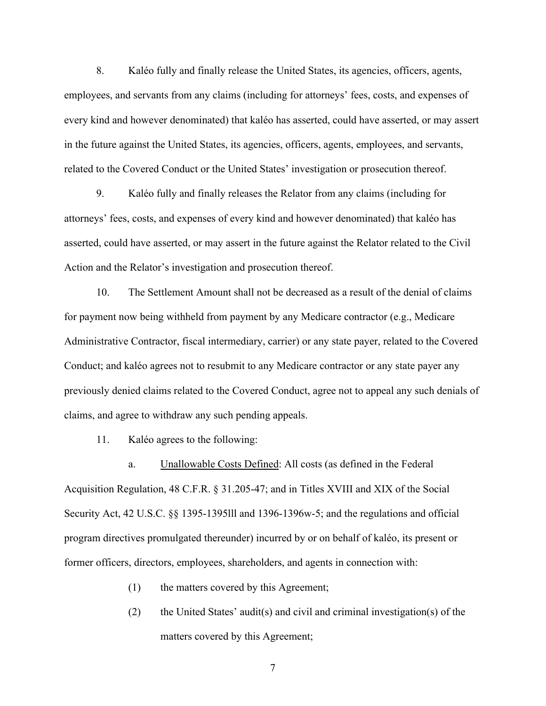employees, and servants from any claims (including for attorneys' fees, costs, and expenses of every kind and however denominated) that kaléo has asserted, could have asserted, or may assert related to the Covered Conduct or the United States' investigation or prosecution thereof. 8. Kaléo fully and finally release the United States, its agencies, officers, agents, in the future against the United States, its agencies, officers, agents, employees, and servants,

9. attorneys' fees, costs, and expenses of every kind and however denominated) that kaléo has asserted, could have asserted, or may assert in the future against the Relator related to the Civil Action and the Relator's investigation and prosecution thereof. 9. Kaléo fully and finally releases the Relator from any claims (including for

 Administrative Contractor, fiscal intermediary, carrier) or any state payer, related to the Covered Conduct; and kaléo agrees not to resubmit to any Medicare contractor or any state payer any 10. The Settlement Amount shall not be decreased as a result of the denial of claims for payment now being withheld from payment by any Medicare contractor (e.g., Medicare previously denied claims related to the Covered Conduct, agree not to appeal any such denials of claims, and agree to withdraw any such pending appeals.

11. Kaléo agrees to the following:

 program directives promulgated thereunder) incurred by or on behalf of kaléo, its present or former officers, directors, employees, shareholders, and agents in connection with:<br>(1) the matters covered by this Agreement; a. Unallowable Costs Defined: All costs (as defined in the Federal Acquisition Regulation, 48 C.F.R. § 31.205-47; and in Titles XVIII and XIX of the Social Security Act, 42 U.S.C. §§ 1395-1395lll and 1396-1396w-5; and the regulations and official

- 
- matters covered by this Agreement; (2) the United States' audit(s) and civil and criminal investigation(s) of the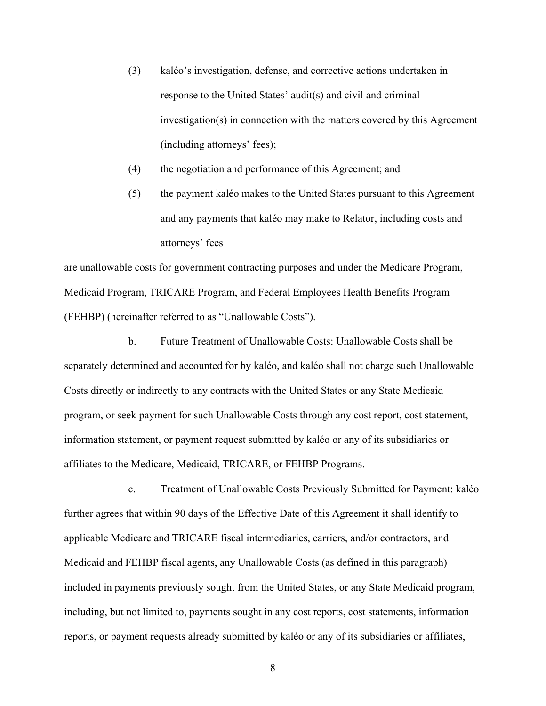- (including attorneys' fees); (3) kaléo's investigation, defense, and corrective actions undertaken in response to the United States' audit(s) and civil and criminal investigation(s) in connection with the matters covered by this Agreement
- (4) the negotiation and performance of this Agreement; and
- (5) the payment kaléo makes to the United States pursuant to this Agreement and any payments that kaléo may make to Relator, including costs and attorneys' fees

are unallowable costs for government contracting purposes and under the Medicare Program, Medicaid Program, TRICARE Program, and Federal Employees Health Benefits Program (FEHBP) (hereinafter referred to as "Unallowable Costs").

 information statement, or payment request submitted by kaléo or any of its subsidiaries or affiliates to the Medicare, Medicaid, TRICARE, or FEHBP Programs. b. Future Treatment of Unallowable Costs: Unallowable Costs shall be separately determined and accounted for by kaléo, and kaléo shall not charge such Unallowable Costs directly or indirectly to any contracts with the United States or any State Medicaid program, or seek payment for such Unallowable Costs through any cost report, cost statement,

 further agrees that within 90 days of the Effective Date of this Agreement it shall identify to c. Treatment of Unallowable Costs Previously Submitted for Payment: kaléo applicable Medicare and TRICARE fiscal intermediaries, carriers, and/or contractors, and Medicaid and FEHBP fiscal agents, any Unallowable Costs (as defined in this paragraph) included in payments previously sought from the United States, or any State Medicaid program, including, but not limited to, payments sought in any cost reports, cost statements, information reports, or payment requests already submitted by kaléo or any of its subsidiaries or affiliates,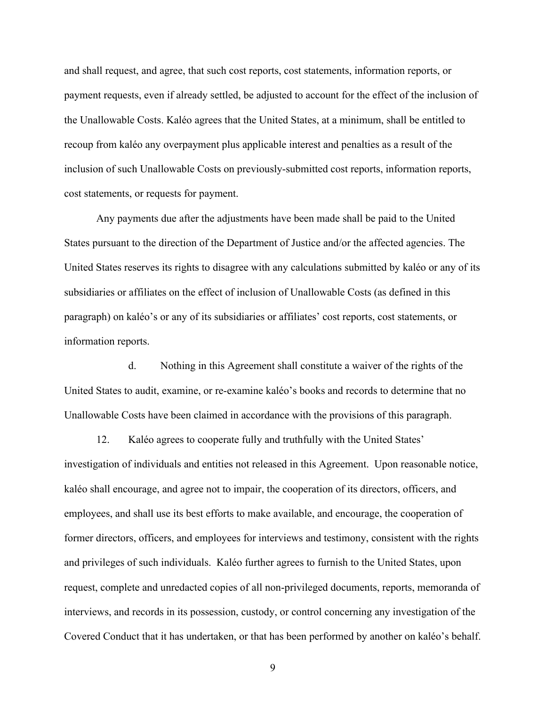payment requests, even if already settled, be adjusted to account for the effect of the inclusion of and shall request, and agree, that such cost reports, cost statements, information reports, or the Unallowable Costs. Kaléo agrees that the United States, at a minimum, shall be entitled to recoup from kaléo any overpayment plus applicable interest and penalties as a result of the inclusion of such Unallowable Costs on previously-submitted cost reports, information reports, cost statements, or requests for payment.

 United States reserves its rights to disagree with any calculations submitted by kaléo or any of its subsidiaries or affiliates on the effect of inclusion of Unallowable Costs (as defined in this Any payments due after the adjustments have been made shall be paid to the United States pursuant to the direction of the Department of Justice and/or the affected agencies. The paragraph) on kaléo's or any of its subsidiaries or affiliates' cost reports, cost statements, or information reports.

 United States to audit, examine, or re-examine kaléo's books and records to determine that no Unallowable Costs have been claimed in accordance with the provisions of this paragraph. d. Nothing in this Agreement shall constitute a waiver of the rights of the

 kaléo shall encourage, and agree not to impair, the cooperation of its directors, officers, and employees, and shall use its best efforts to make available, and encourage, the cooperation of interviews, and records in its possession, custody, or control concerning any investigation of the Covered Conduct that it has undertaken, or that has been performed by another on kaléo's behalf. 12. Kaléo agrees to cooperate fully and truthfully with the United States' investigation of individuals and entities not released in this Agreement. Upon reasonable notice, former directors, officers, and employees for interviews and testimony, consistent with the rights and privileges of such individuals. Kaléo further agrees to furnish to the United States, upon request, complete and unredacted copies of all non-privileged documents, reports, memoranda of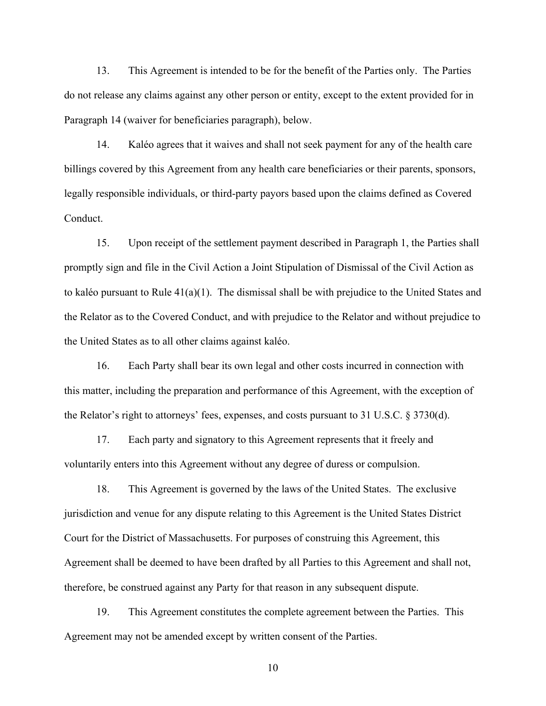13. This Agreement is intended to be for the benefit of the Parties only. The Parties do not release any claims against any other person or entity, except to the extent provided for in Paragraph 14 (waiver for beneficiaries paragraph), below.

14. Kaléo agrees that it waives and shall not seek payment for any of the health care billings covered by this Agreement from any health care beneficiaries or their parents, sponsors, legally responsible individuals, or third-party payors based upon the claims defined as Covered Conduct.

15. Upon receipt of the settlement payment described in Paragraph 1, the Parties shall promptly sign and file in the Civil Action a Joint Stipulation of Dismissal of the Civil Action as to kaléo pursuant to Rule 41(a)(1). The dismissal shall be with prejudice to the United States and the Relator as to the Covered Conduct, and with prejudice to the Relator and without prejudice to the United States as to all other claims against kaléo.

16. Each Party shall bear its own legal and other costs incurred in connection with this matter, including the preparation and performance of this Agreement, with the exception of the Relator's right to attorneys' fees, expenses, and costs pursuant to 31 U.S.C. § 3730(d).

17. Each party and signatory to this Agreement represents that it freely and voluntarily enters into this Agreement without any degree of duress or compulsion.

 Agreement shall be deemed to have been drafted by all Parties to this Agreement and shall not, 18. This Agreement is governed by the laws of the United States. The exclusive jurisdiction and venue for any dispute relating to this Agreement is the United States District Court for the District of Massachusetts. For purposes of construing this Agreement, this therefore, be construed against any Party for that reason in any subsequent dispute.

19. This Agreement constitutes the complete agreement between the Parties. This Agreement may not be amended except by written consent of the Parties.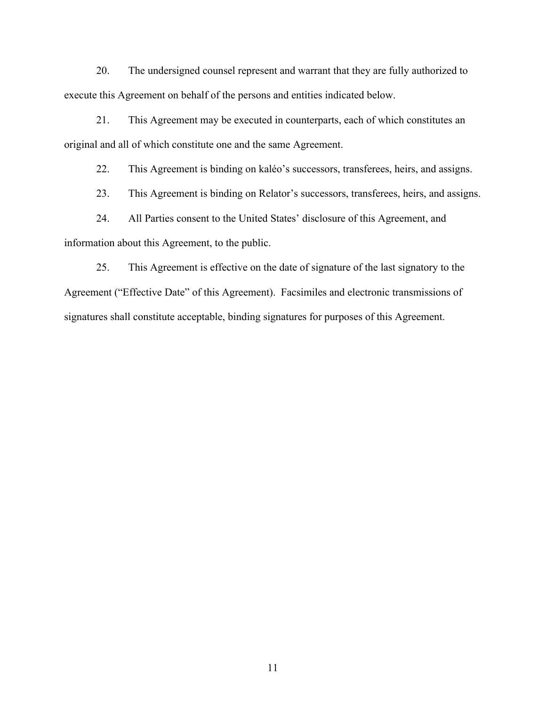execute this Agreement on behalf of the persons and entities indicated below. 20. The undersigned counsel represent and warrant that they are fully authorized to

 original and all of which constitute one and the same Agreement. 21. This Agreement may be executed in counterparts, each of which constitutes an

22. This Agreement is binding on kaléo's successors, transferees, heirs, and assigns.

23. This Agreement is binding on Relator's successors, transferees, heirs, and assigns.

24. All Parties consent to the United States' disclosure of this Agreement, and information about this Agreement, to the public.

 signatures shall constitute acceptable, binding signatures for purposes of this Agreement. 25. This Agreement is effective on the date of signature of the last signatory to the Agreement ("Effective Date" of this Agreement). Facsimiles and electronic transmissions of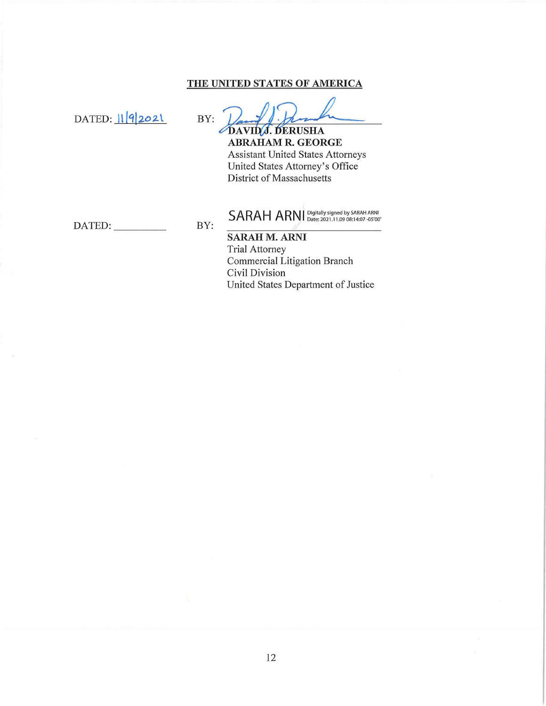## THE UNITED STATES OF AMERICA

DATED: 1192021

BY: DAVID J. DERUSHA

**ABRAHAM R. GEORGE Assistant United States Attorneys** United States Attorney's Office District of Massachusetts

BY: DATED:

SARAH ARNI Digitally signed by SARAH ARNI

**SARAH M. ARNI Trial Attorney** Commercial Litigation Branch Civil Division United States Department of Justice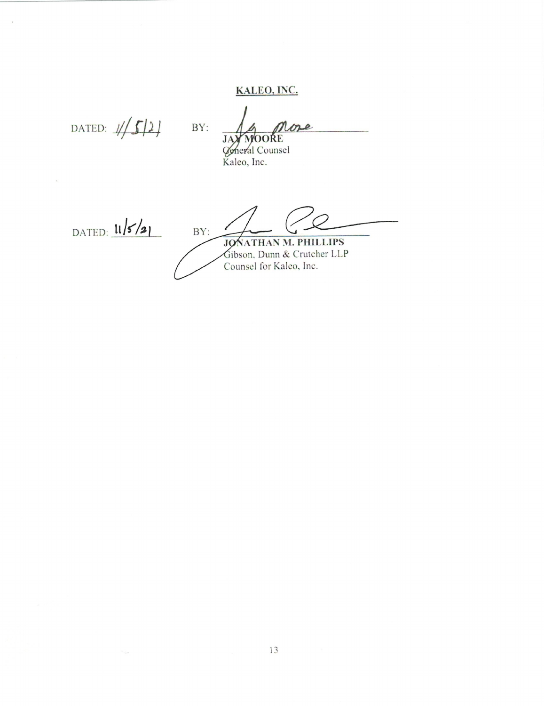# KALEO, INC.

DATED:  $1/5/2$ 

BY: ose

JAY MOORE<br>General Counsel<br>Kaleo, Inc.

DATED:  $11/5/21$ 

 $\bar{X}$ 

 $BY:$ 

JONATHAN M. PHILLIPS<br>Gibson, Dunn & Crutcher LLP<br>Counsel for Kaleo, Inc.